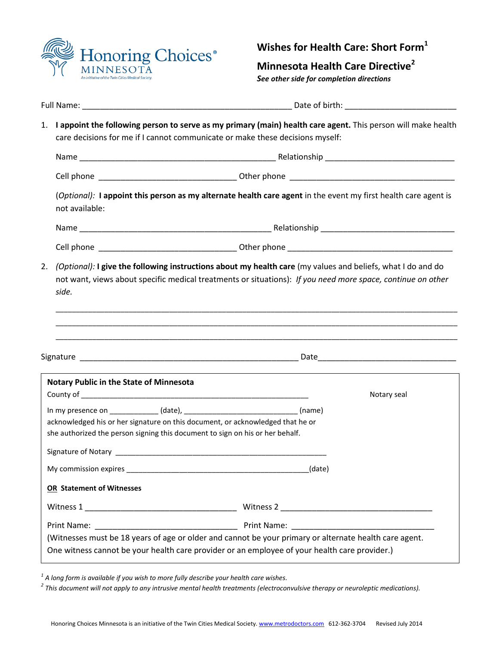

# **Wishes for Health Care: Short Form<sup>1</sup>**

**Minnesota Health Care Directive<sup>2</sup>**

*See other side for completion directions*

| Full Name:                                                                                                                                                          |                                                                                                                                                                                                  |  |
|---------------------------------------------------------------------------------------------------------------------------------------------------------------------|--------------------------------------------------------------------------------------------------------------------------------------------------------------------------------------------------|--|
|                                                                                                                                                                     | 1. I appoint the following person to serve as my primary (main) health care agent. This person will make health<br>care decisions for me if I cannot communicate or make these decisions myself: |  |
|                                                                                                                                                                     |                                                                                                                                                                                                  |  |
|                                                                                                                                                                     |                                                                                                                                                                                                  |  |
| not available:                                                                                                                                                      | (Optional): I appoint this person as my alternate health care agent in the event my first health care agent is                                                                                   |  |
|                                                                                                                                                                     |                                                                                                                                                                                                  |  |
|                                                                                                                                                                     |                                                                                                                                                                                                  |  |
| side.                                                                                                                                                               | not want, views about specific medical treatments or situations): If you need more space, continue on other                                                                                      |  |
|                                                                                                                                                                     | <u> 1980 - Johann Stoff, deutscher Stoff, der Stoff, der Stoff, der Stoff, der Stoff, der Stoff, der Stoff, der S</u>                                                                            |  |
|                                                                                                                                                                     | <u> 1989 - Johann Barn, mars and deutscher Stadt and deutscher Stadt and deutscher Stadt and deutscher Stadt and</u>                                                                             |  |
|                                                                                                                                                                     |                                                                                                                                                                                                  |  |
|                                                                                                                                                                     | Notary seal                                                                                                                                                                                      |  |
|                                                                                                                                                                     | In my presence on ______________ (date), __________________________________ (name)                                                                                                               |  |
|                                                                                                                                                                     | acknowledged his or her signature on this document, or acknowledged that he or                                                                                                                   |  |
|                                                                                                                                                                     |                                                                                                                                                                                                  |  |
|                                                                                                                                                                     |                                                                                                                                                                                                  |  |
|                                                                                                                                                                     |                                                                                                                                                                                                  |  |
|                                                                                                                                                                     |                                                                                                                                                                                                  |  |
| <b>Notary Public in the State of Minnesota</b><br>she authorized the person signing this document to sign on his or her behalf.<br><b>OR</b> Statement of Witnesses |                                                                                                                                                                                                  |  |
|                                                                                                                                                                     |                                                                                                                                                                                                  |  |
|                                                                                                                                                                     | (Witnesses must be 18 years of age or older and cannot be your primary or alternate health care agent.                                                                                           |  |

*1 A long form is available if you wish to more fully describe your health care wishes.* 

*2 This document will not apply to any intrusive mental health treatments (electroconvulsive therapy or neuroleptic medications).*